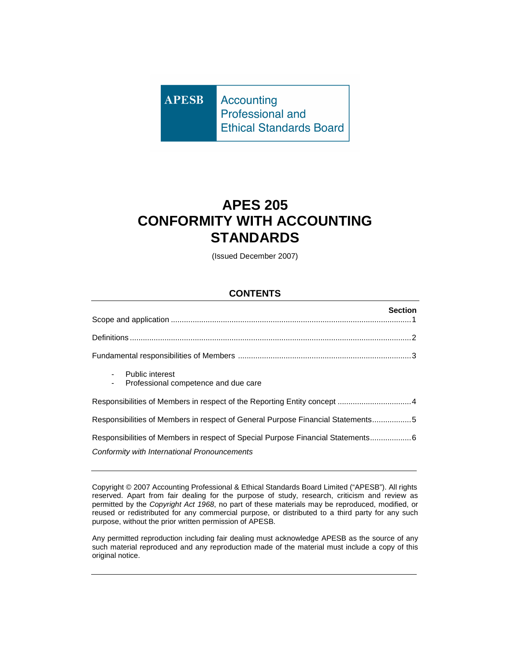**Accounting APESB Professional and Ethical Standards Board** 

# **APES 205 CONFORMITY WITH ACCOUNTING STANDARDS**

(Issued December 2007)

## **CONTENTS**

| <b>Section</b>                                                                   |
|----------------------------------------------------------------------------------|
|                                                                                  |
|                                                                                  |
| <b>Public interest</b><br>Professional competence and due care                   |
|                                                                                  |
| Responsibilities of Members in respect of General Purpose Financial Statements5  |
| Responsibilities of Members in respect of Special Purpose Financial Statements 6 |
| Conformity with International Pronouncements                                     |

Copyright © 2007 Accounting Professional & Ethical Standards Board Limited ("APESB"). All rights reserved. Apart from fair dealing for the purpose of study, research, criticism and review as permitted by the Copyright Act 1968, no part of these materials may be reproduced, modified, or reused or redistributed for any commercial purpose, or distributed to a third party for any such purpose, without the prior written permission of APESB.

Any permitted reproduction including fair dealing must acknowledge APESB as the source of any such material reproduced and any reproduction made of the material must include a copy of this original notice.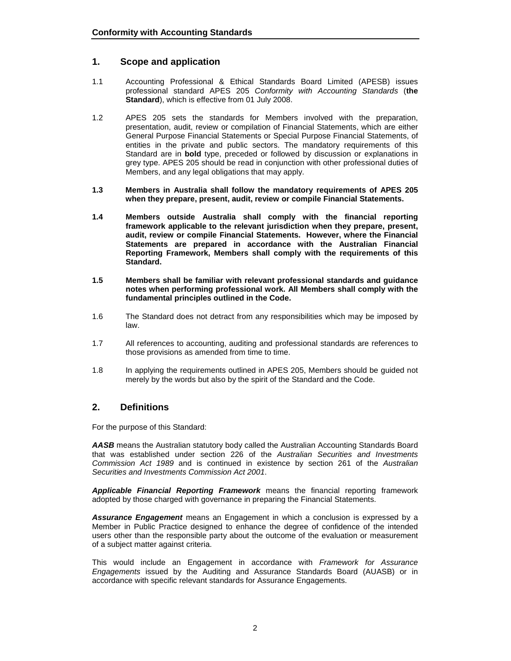## **1. Scope and application**

- 1.1 Accounting Professional & Ethical Standards Board Limited (APESB) issues professional standard APES 205 Conformity with Accounting Standards (**the Standard**), which is effective from 01 July 2008.
- 1.2 APES 205 sets the standards for Members involved with the preparation, presentation, audit, review or compilation of Financial Statements, which are either General Purpose Financial Statements or Special Purpose Financial Statements, of entities in the private and public sectors. The mandatory requirements of this Standard are in **bold** type, preceded or followed by discussion or explanations in grey type. APES 205 should be read in conjunction with other professional duties of Members, and any legal obligations that may apply.
- **1.3 Members in Australia shall follow the mandatory requirements of APES 205 when they prepare, present, audit, review or compile Financial Statements.**
- **1.4 Members outside Australia shall comply with the financial reporting framework applicable to the relevant jurisdiction when they prepare, present, audit, review or compile Financial Statements. However, where the Financial Statements are prepared in accordance with the Australian Financial Reporting Framework, Members shall comply with the requirements of this Standard.**
- **1.5 Members shall be familiar with relevant professional standards and guidance notes when performing professional work. All Members shall comply with the fundamental principles outlined in the Code.**
- 1.6 The Standard does not detract from any responsibilities which may be imposed by law.
- 1.7 All references to accounting, auditing and professional standards are references to those provisions as amended from time to time.
- 1.8 In applying the requirements outlined in APES 205, Members should be guided not merely by the words but also by the spirit of the Standard and the Code.

## **2. Definitions**

For the purpose of this Standard:

**AASB** means the Australian statutory body called the Australian Accounting Standards Board that was established under section 226 of the Australian Securities and Investments Commission Act 1989 and is continued in existence by section 261 of the Australian Securities and Investments Commission Act 2001.

**Applicable Financial Reporting Framework** means the financial reporting framework adopted by those charged with governance in preparing the Financial Statements.

**Assurance Engagement** means an Engagement in which a conclusion is expressed by a Member in Public Practice designed to enhance the degree of confidence of the intended users other than the responsible party about the outcome of the evaluation or measurement of a subject matter against criteria.

This would include an Engagement in accordance with Framework for Assurance Engagements issued by the Auditing and Assurance Standards Board (AUASB) or in accordance with specific relevant standards for Assurance Engagements.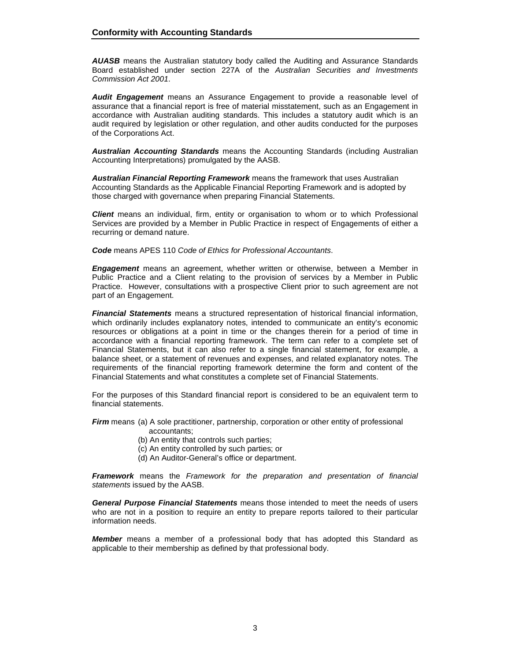**AUASB** means the Australian statutory body called the Auditing and Assurance Standards Board established under section 227A of the Australian Securities and Investments Commission Act 2001.

**Audit Engagement** means an Assurance Engagement to provide a reasonable level of assurance that a financial report is free of material misstatement, such as an Engagement in accordance with Australian auditing standards. This includes a statutory audit which is an audit required by legislation or other regulation, and other audits conducted for the purposes of the Corporations Act.

**Australian Accounting Standards** means the Accounting Standards (including Australian Accounting Interpretations) promulgated by the AASB.

**Australian Financial Reporting Framework** means the framework that uses Australian Accounting Standards as the Applicable Financial Reporting Framework and is adopted by those charged with governance when preparing Financial Statements.

**Client** means an individual, firm, entity or organisation to whom or to which Professional Services are provided by a Member in Public Practice in respect of Engagements of either a recurring or demand nature.

**Code** means APES 110 Code of Ethics for Professional Accountants.

**Engagement** means an agreement, whether written or otherwise, between a Member in Public Practice and a Client relating to the provision of services by a Member in Public Practice. However, consultations with a prospective Client prior to such agreement are not part of an Engagement.

**Financial Statements** means a structured representation of historical financial information, which ordinarily includes explanatory notes, intended to communicate an entity's economic resources or obligations at a point in time or the changes therein for a period of time in accordance with a financial reporting framework. The term can refer to a complete set of Financial Statements, but it can also refer to a single financial statement, for example, a balance sheet, or a statement of revenues and expenses, and related explanatory notes. The requirements of the financial reporting framework determine the form and content of the Financial Statements and what constitutes a complete set of Financial Statements.

For the purposes of this Standard financial report is considered to be an equivalent term to financial statements.

**Firm** means (a) A sole practitioner, partnership, corporation or other entity of professional

- accountants;
- (b) An entity that controls such parties;
- (c) An entity controlled by such parties; or
- (d) An Auditor-General's office or department.

**Framework** means the Framework for the preparation and presentation of financial statements issued by the AASB.

**General Purpose Financial Statements** means those intended to meet the needs of users who are not in a position to require an entity to prepare reports tailored to their particular information needs.

**Member** means a member of a professional body that has adopted this Standard as applicable to their membership as defined by that professional body.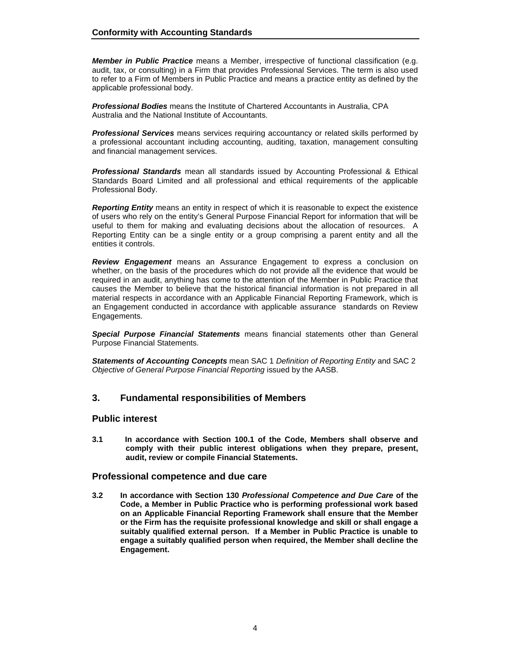**Member in Public Practice** means a Member, irrespective of functional classification (e.g. audit, tax, or consulting) in a Firm that provides Professional Services. The term is also used to refer to a Firm of Members in Public Practice and means a practice entity as defined by the applicable professional body.

**Professional Bodies** means the Institute of Chartered Accountants in Australia, CPA Australia and the National Institute of Accountants.

**Professional Services** means services requiring accountancy or related skills performed by a professional accountant including accounting, auditing, taxation, management consulting and financial management services.

**Professional Standards** mean all standards issued by Accounting Professional & Ethical Standards Board Limited and all professional and ethical requirements of the applicable Professional Body.

**Reporting Entity** means an entity in respect of which it is reasonable to expect the existence of users who rely on the entity's General Purpose Financial Report for information that will be useful to them for making and evaluating decisions about the allocation of resources. A Reporting Entity can be a single entity or a group comprising a parent entity and all the entities it controls.

**Review Engagement** means an Assurance Engagement to express a conclusion on whether, on the basis of the procedures which do not provide all the evidence that would be required in an audit, anything has come to the attention of the Member in Public Practice that causes the Member to believe that the historical financial information is not prepared in all material respects in accordance with an Applicable Financial Reporting Framework, which is an Engagement conducted in accordance with applicable assurance standards on Review Engagements.

**Special Purpose Financial Statements** means financial statements other than General Purpose Financial Statements.

**Statements of Accounting Concepts** mean SAC 1 Definition of Reporting Entity and SAC 2 Objective of General Purpose Financial Reporting issued by the AASB.

## **3. Fundamental responsibilities of Members**

#### **Public interest**

**3.1 In accordance with Section 100.1 of the Code, Members shall observe and comply with their public interest obligations when they prepare, present, audit, review or compile Financial Statements.** 

#### **Professional competence and due care**

**3.2 In accordance with Section 130 Professional Competence and Due Care of the Code, a Member in Public Practice who is performing professional work based on an Applicable Financial Reporting Framework shall ensure that the Member or the Firm has the requisite professional knowledge and skill or shall engage a suitably qualified external person. If a Member in Public Practice is unable to engage a suitably qualified person when required, the Member shall decline the Engagement.**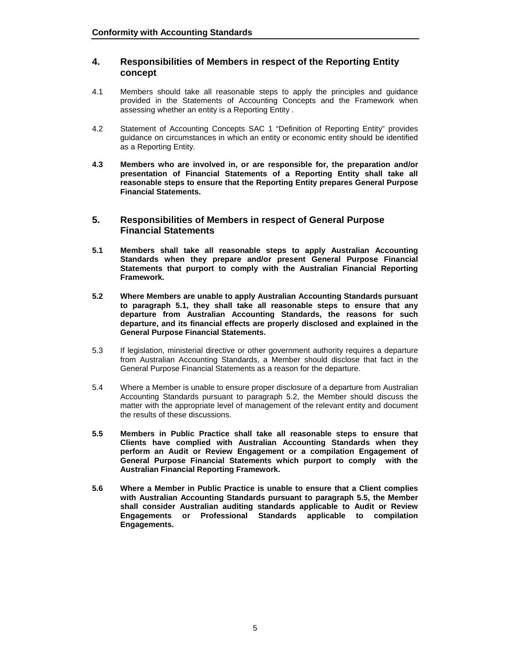## **4. Responsibilities of Members in respect of the Reporting Entity concept**

- 4.1 Members should take all reasonable steps to apply the principles and guidance provided in the Statements of Accounting Concepts and the Framework when assessing whether an entity is a Reporting Entity .
- 4.2 Statement of Accounting Concepts SAC 1 "Definition of Reporting Entity" provides guidance on circumstances in which an entity or economic entity should be identified as a Reporting Entity.
- **4.3 Members who are involved in, or are responsible for, the preparation and/or presentation of Financial Statements of a Reporting Entity shall take all reasonable steps to ensure that the Reporting Entity prepares General Purpose Financial Statements.**

### **5. Responsibilities of Members in respect of General Purpose Financial Statements**

- **5.1 Members shall take all reasonable steps to apply Australian Accounting Standards when they prepare and/or present General Purpose Financial Statements that purport to comply with the Australian Financial Reporting Framework.**
- **5.2 Where Members are unable to apply Australian Accounting Standards pursuant to paragraph 5.1, they shall take all reasonable steps to ensure that any departure from Australian Accounting Standards, the reasons for such departure, and its financial effects are properly disclosed and explained in the General Purpose Financial Statements.**
- 5.3 If legislation, ministerial directive or other government authority requires a departure from Australian Accounting Standards, a Member should disclose that fact in the General Purpose Financial Statements as a reason for the departure.
- 5.4 Where a Member is unable to ensure proper disclosure of a departure from Australian Accounting Standards pursuant to paragraph 5.2, the Member should discuss the matter with the appropriate level of management of the relevant entity and document the results of these discussions.
- **5.5 Members in Public Practice shall take all reasonable steps to ensure that Clients have complied with Australian Accounting Standards when they perform an Audit or Review Engagement or a compilation Engagement of General Purpose Financial Statements which purport to comply with the Australian Financial Reporting Framework.**
- **5.6 Where a Member in Public Practice is unable to ensure that a Client complies with Australian Accounting Standards pursuant to paragraph 5.5, the Member shall consider Australian auditing standards applicable to Audit or Review Engagements or Professional Standards applicable to compilation Engagements.**